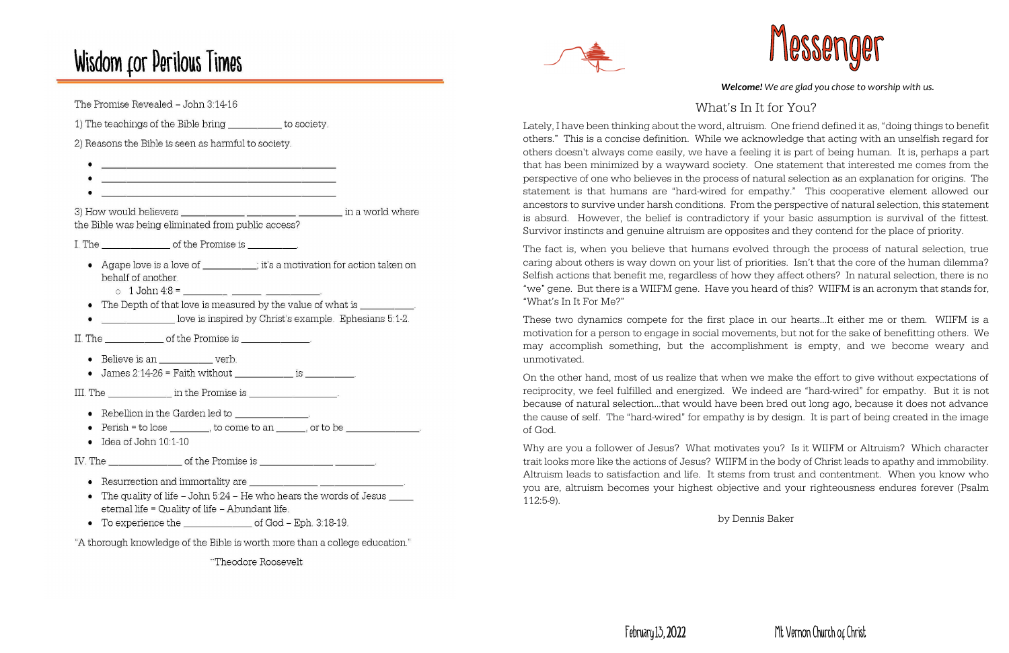# Wisdom for Perilous Times

The Promise Revealed - John 3:14-16 1) The teachings of the Bible bring \_\_\_\_\_\_\_\_\_\_\_ to society. 2) Reasons the Bible is seen as harmful to society. <u> 1989 - Johann John Stone, mars et al. (1989)</u> the Bible was being eliminated from public access? I. The  $\qquad \qquad$  of the Promise is  $\qquad \qquad$ • Agape love is a love of \_\_\_\_\_\_\_\_; it's a motivation for action taken on behalf of another. • The Depth of that love is measured by the value of what is love is inspired by Christ's example. Ephesians 5:1-2. II. The  $\qquad \qquad$  of the Promise is  $\qquad \qquad$ • Believe is an verb. • James 2:14-26 = Faith without \_\_\_\_\_\_\_\_\_\_\_\_\_\_ is \_\_\_\_\_\_\_\_\_. III. The second second in the Promise is the second second second second second second second second second second second second second second second second second second second second second second second second second se •  $Perish = to lose$  to come to an or to be  $\bullet$  Idea of John 10:1-10 IV. The contract of the Promise is • Resurrection and immortality are • The quality of life - John 5:24 - He who hears the words of Jesus \_\_\_\_\_ eternal life = Quality of life - Abundant life. • To experience the of God - Eph. 3:18-19.

### *Welcome! We are glad you chose to worship with us.*

### What's In It for You?

Lately, I have been thinking about the word, altruism. One friend defined it as, "doing things to benefit others." This is a concise definition. While we acknowledge that acting with an unselfish regard for others doesn't always come easily, we have a feeling it is part of being human. It is, perhaps a part that has been minimized by a wayward society. One statement that interested me comes from the perspective of one who believes in the process of natural selection as an explanation for origins. The statement is that humans are "hard-wired for empathy." This cooperative element allowed our ancestors to survive under harsh conditions. From the perspective of natural selection, this statement is absurd. However, the belief is contradictory if your basic assumption is survival of the fittest. Survivor instincts and genuine altruism are opposites and they contend for the place of priority.

The fact is, when you believe that humans evolved through the process of natural selection, true caring about others is way down on your list of priorities. Isn't that the core of the human dilemma? Selfish actions that benefit me, regardless of how they affect others? In natural selection, there is no "we" gene. But there is a WIIFM gene. Have you heard of this? WIIFM is an acronym that stands for, "What's In It For Me?"

These two dynamics compete for the first place in our hearts…It either me or them. WIIFM is a motivation for a person to engage in social movements, but not for the sake of benefitting others. We may accomplish something, but the accomplishment is empty, and we become weary and unmotivated.

On the other hand, most of us realize that when we make the effort to give without expectations of reciprocity, we feel fulfilled and energized. We indeed are "hard-wired" for empathy. But it is not because of natural selection…that would have been bred out long ago, because it does not advance the cause of self. The "hard-wired" for empathy is by design. It is part of being created in the image of God.

Why are you a follower of Jesus? What motivates you? Is it WIIFM or Altruism? Which character trait looks more like the actions of Jesus? WIIFM in the body of Christ leads to apathy and immobility. Altruism leads to satisfaction and life. It stems from trust and contentment. When you know who you are, altruism becomes your highest objective and your righteousness endures forever (Psalm 112:5-9).

"A thorough knowledge of the Bible is worth more than a college education."

"Theodore Roosevelt



by Dennis Baker